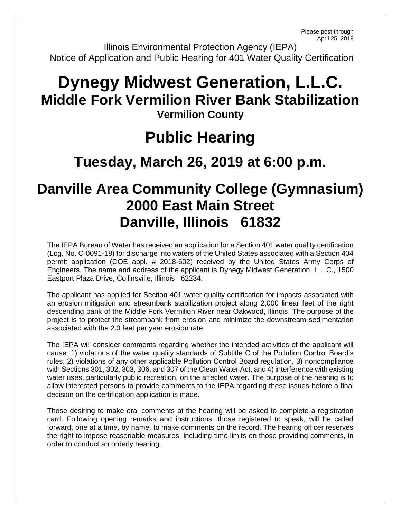Please post through April 25, 2019

Illinois Environmental Protection Agency (IEPA) Notice of Application and Public Hearing for 401 Water Quality Certification

## **Dynegy Midwest Generation, L.L.C. Middle Fork Vermilion River Bank Stabilization Vermilion County**

## **Public Hearing**

## **Tuesday, March 26, 2019 at 6:00 p.m.**

## **Danville Area Community College (Gymnasium) 2000 East Main Street Danville, Illinois 61832**

The IEPA Bureau of Water has received an application for a Section 401 water quality certification (Log. No. C-0091-18) for discharge into waters of the United States associated with a Section 404 permit application (COE appl. # 2018-602) received by the United States Army Corps of Engineers. The name and address of the applicant is Dynegy Midwest Generation, L.L.C., 1500 Eastport Plaza Drive, Collinsville, Illinois 62234.

The applicant has applied for Section 401 water quality certification for impacts associated with an erosion mitigation and streambank stabilization project along 2,000 linear feet of the right descending bank of the Middle Fork Vermilion River near Oakwood, Illinois. The purpose of the project is to protect the streambank from erosion and minimize the downstream sedimentation associated with the 2.3 feet per year erosion rate.

The IEPA will consider comments regarding whether the intended activities of the applicant will cause: 1) violations of the water quality standards of Subtitle C of the Pollution Control Board's rules, 2) violations of any other applicable Pollution Control Board regulation, 3) noncompliance with Sections 301, 302, 303, 306, and 307 of the Clean Water Act, and 4) interference with existing water uses, particularly public recreation, on the affected water. The purpose of the hearing is to allow interested persons to provide comments to the IEPA regarding these issues before a final decision on the certification application is made.

Those desiring to make oral comments at the hearing will be asked to complete a registration card. Following opening remarks and instructions, those registered to speak, will be called forward, one at a time, by name, to make comments on the record. The hearing officer reserves the right to impose reasonable measures, including time limits on those providing comments, in order to conduct an orderly hearing.